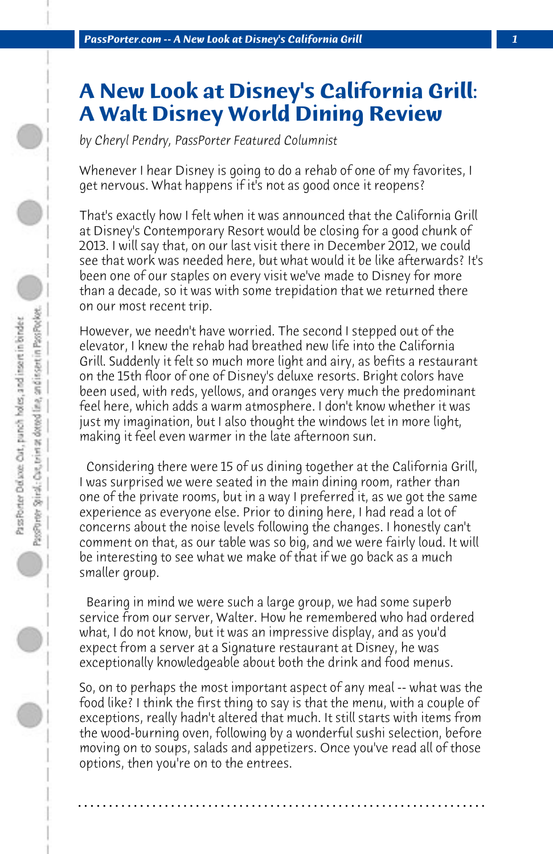## **A New Look at Disney's California Grill: A Walt Disney World Dining Review**

*by Cheryl Pendry, PassPorter Featured Columnist*

Whenever I hear Disney is going to do a rehab of one of my favorites, I get nervous. What happens if it's not as good once it reopens?

That's exactly how I felt when it was announced that the California Grill at Disney's Contemporary Resort would be closing for a good chunk of 2013. I will say that, on our last visit there in December 2012, we could see that work was needed here, but what would it be like afterwards? It's been one of our staples on every visit we've made to Disney for more than a decade, so it was with some trepidation that we returned there on our most recent trip.

However, we needn't have worried. The second I stepped out of the elevator, I knew the rehab had breathed new life into the California Grill. Suddenly it felt so much more light and airy, as befits a restaurant on the 15th floor of one of Disney's deluxe resorts. Bright colors have been used, with reds, yellows, and oranges very much the predominant feel here, which adds a warm atmosphere. I don't know whether it was just my imagination, but I also thought the windows let in more light, making it feel even warmer in the late afternoon sun.

 Considering there were 15 of us dining together at the California Grill, I was surprised we were seated in the main dining room, rather than one of the private rooms, but in a way I preferred it, as we got the same experience as everyone else. Prior to dining here, I had read a lot of concerns about the noise levels following the changes. I honestly can't comment on that, as our table was so big, and we were fairly loud. It will be interesting to see what we make of that if we go back as a much smaller group.

 Bearing in mind we were such a large group, we had some superb service from our server, Walter. How he remembered who had ordered what, I do not know, but it was an impressive display, and as you'd expect from a server at a Signature restaurant at Disney, he was exceptionally knowledgeable about both the drink and food menus.

So, on to perhaps the most important aspect of any meal -- what was the food like? I think the first thing to say is that the menu, with a couple of exceptions, really hadn't altered that much. It still starts with items from the wood-burning oven, following by a wonderful sushi selection, before moving on to soups, salads and appetizers. Once you've read all of those options, then you're on to the entrees.

**. . . . . . . . . . . . . . . . . . . . . . . . . . . . . . . . . . . . . . . . . . . . . . . . . . . . . . . . . . . . . . . . . .**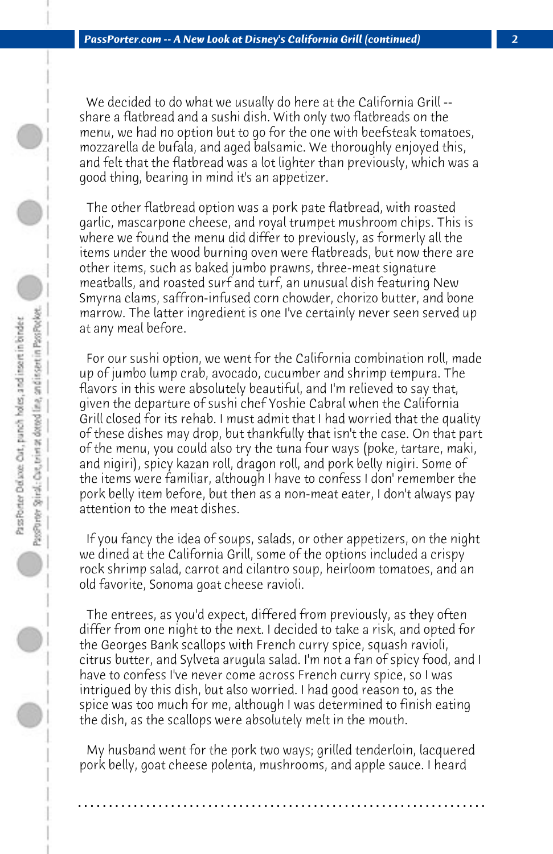We decided to do what we usually do here at the California Grill - share a flatbread and a sushi dish. With only two flatbreads on the menu, we had no option but to go for the one with beefsteak tomatoes, mozzarella de bufala, and aged balsamic. We thoroughly enjoyed this, and felt that the flatbread was a lot lighter than previously, which was a good thing, bearing in mind it's an appetizer.

 The other flatbread option was a pork pate flatbread, with roasted garlic, mascarpone cheese, and royal trumpet mushroom chips. This is where we found the menu did differ to previously, as formerly all the items under the wood burning oven were flatbreads, but now there are other items, such as baked jumbo prawns, three-meat signature meatballs, and roasted surf and turf, an unusual dish featuring New Smyrna clams, saffron-infused corn chowder, chorizo butter, and bone marrow. The latter ingredient is one I've certainly never seen served up at any meal before.

 For our sushi option, we went for the California combination roll, made up of jumbo lump crab, avocado, cucumber and shrimp tempura. The flavors in this were absolutely beautiful, and I'm relieved to say that, given the departure of sushi chef Yoshie Cabral when the California Grill closed for its rehab. I must admit that I had worried that the quality of these dishes may drop, but thankfully that isn't the case. On that part of the menu, you could also try the tuna four ways (poke, tartare, maki, and nigiri), spicy kazan roll, dragon roll, and pork belly nigiri. Some of the items were familiar, although I have to confess I don' remember the pork belly item before, but then as a non-meat eater, I don't always pay attention to the meat dishes.

 If you fancy the idea of soups, salads, or other appetizers, on the night we dined at the California Grill, some of the options included a crispy rock shrimp salad, carrot and cilantro soup, heirloom tomatoes, and an old favorite, Sonoma goat cheese ravioli.

 The entrees, as you'd expect, differed from previously, as they often differ from one night to the next. I decided to take a risk, and opted for the Georges Bank scallops with French curry spice, squash ravioli, citrus butter, and Sylveta arugula salad. I'm not a fan of spicy food, and I have to confess I've never come across French curry spice, so I was intrigued by this dish, but also worried. I had good reason to, as the spice was too much for me, although I was determined to finish eating the dish, as the scallops were absolutely melt in the mouth.

 My husband went for the pork two ways; grilled tenderloin, lacquered pork belly, goat cheese polenta, mushrooms, and apple sauce. I heard

**. . . . . . . . . . . . . . . . . . . . . . . . . . . . . . . . . . . . . . . . . . . . . . . . . . . . . . . . . . . . . . . . . .**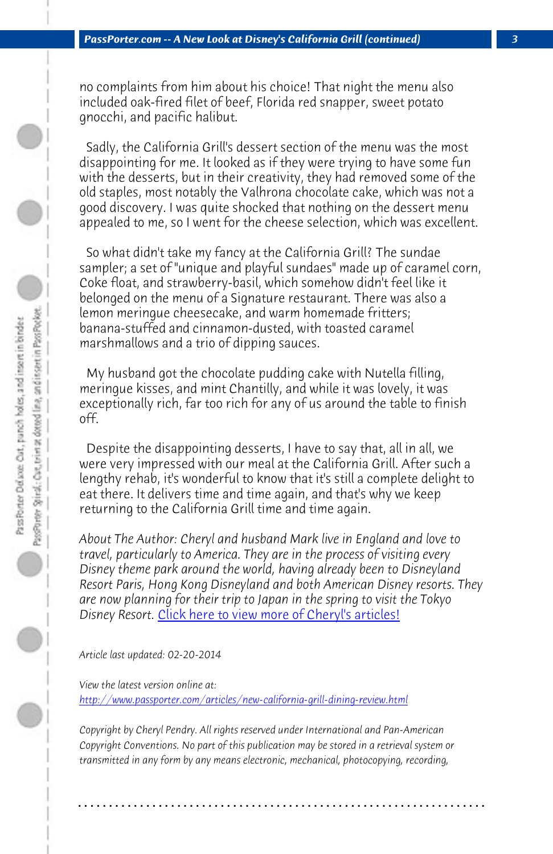*PassPorter.com -- A New Look at Disney's California Grill (continued) 3*

no complaints from him about his choice! That night the menu also included oak-fired filet of beef, Florida red snapper, sweet potato gnocchi, and pacific halibut.

 Sadly, the California Grill's dessert section of the menu was the most disappointing for me. It looked as if they were trying to have some fun with the desserts, but in their creativity, they had removed some of the old staples, most notably the Valhrona chocolate cake, which was not a good discovery. I was quite shocked that nothing on the dessert menu appealed to me, so I went for the cheese selection, which was excellent.

 So what didn't take my fancy at the California Grill? The sundae sampler; a set of "unique and playful sundaes" made up of caramel corn, Coke float, and strawberry-basil, which somehow didn't feel like it belonged on the menu of a Signature restaurant. There was also a lemon meringue cheesecake, and warm homemade fritters; banana-stuffed and cinnamon-dusted, with toasted caramel marshmallows and a trio of dipping sauces.

 My husband [got the chocolate pudding cake with Nutella](http://www.passporter.com/articles/cheryl-pendry-featured-columnist.asp) filling, meringue kisses, and mint Chantilly, and while it was lovely, it was exceptionally rich, far too rich for any of us around the table to finish off.

 [Despite the disappointing desserts, I have to say that, all i](http://www.passporter.com/articles/new-california-grill-dining-review.php)n all, we were very impressed with our meal at the California Grill. After such a lengthy rehab, it's wonderful to know that it's still a complete delight to eat there. It delivers time and time again, and that's why we keep returning to the California Grill time and time again.

*About The Author: Cheryl and husband Mark live in England and love to travel, particularly to America. They are in the process of visiting every Disney theme park around the world, having already been to Disneyland Resort Paris, Hong Kong Disneyland and both American Disney resorts. They are now planning for their trip to Japan in the spring to visit the Tokyo Disney Resort.* Click here to view more of Cheryl's articles!

*Article last updated: 02-20-2014*

*View the latest version online at: http://www.passporter.com/articles/new-california-grill-dining-review.html*

*Copyright by Cheryl Pendry. All rights reserved under International and Pan-American Copyright Conventions. No part of this publication may be stored in a retrieval system or transmitted in any form by any means electronic, mechanical, photocopying, recording,*

**. . . . . . . . . . . . . . . . . . . . . . . . . . . . . . . . . . . . . . . . . . . . . . . . . . . . . . . . . . . . . . . . . .**